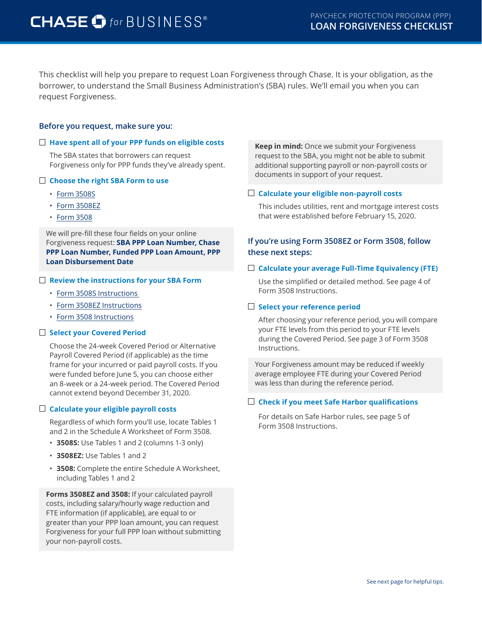# CHASE Of for BUSINESS®

This checklist will help you prepare to request Loan Forgiveness through Chase. It is your obligation, as the borrower, to understand the Small Business Administration's (SBA) rules. We'll email you when you can request Forgiveness.

## **Before you request, make sure you:**

#### **Have spent all of your PPP funds on eligible costs**

The SBA states that borrowers can request Forgiveness only for PPP funds they've already spent.

#### **Choose the right SBA Form to use**

- [Form 3508S](https://www.sba.gov/sites/default/files/2020-10/PPP%20Loan%20Forgiveness%20Application%20Form%203508S.pdf)
- [Form 3508EZ](https://www.sba.gov/sites/default/files/2020-06/PPP%20Forgiveness%20Application%203508EZ%20%28%20Revised%2006.16.2020%29%20Fillable-508.pdf)
- [Form 3508](https://www.sba.gov/sites/default/files/2020-06/PPP%20Loan%20Forgiveness%20Application%20%28Revised%206.16.2020%29-fillable_0-508.pdf)

We will pre-fill these four fields on your online Forgiveness request: **SBA PPP Loan Number, Chase PPP Loan Number, Funded PPP Loan Amount, PPP Loan Disbursement Date**

#### **Review the instructions for your SBA Form**

- [Form 3508S Instructions](https://www.sba.gov/sites/default/files/2020-10/PPP%20Loan%20Forgiveness%20Application%20Form%203508S%20Instructions.pdf)
- [Form 3508EZ Instructions](https://www.sba.gov/sites/default/files/2020-06/PPP%20Loan%20Forgiveness%20Application%20Form%20EZ%20Instructions%20%28Revised%2006.16.2020%29-508.pdf)
- [Form 3508 Instructions](https://www.sba.gov/sites/default/files/2020-06/PPP%20Loan%20Forgiveness%20Application%20Instructions%20%28Revised%206.16.2020%29-508.pdf)

#### **Select your Covered Period**

Choose the 24-week Covered Period or Alternative Payroll Covered Period (if applicable) as the time frame for your incurred or paid payroll costs. If you were funded before June 5, you can choose either an 8-week or a 24-week period. The Covered Period cannot extend beyond December 31, 2020.

#### **Calculate your eligible payroll costs**

Regardless of which form you'll use, locate Tables 1 and 2 in the Schedule A Worksheet of Form 3508.

- **3508S:** Use Tables 1 and 2 (columns 1-3 only)
- **3508EZ:** Use Tables 1 and 2
- **3508:** Complete the entire Schedule A Worksheet, including Tables 1 and 2

**Forms 3508EZ and 3508:** If your calculated payroll costs, including salary/hourly wage reduction and FTE information (if applicable), are equal to or greater than your PPP loan amount, you can request Forgiveness for your full PPP loan without submitting your non-payroll costs.

**Keep in mind:** Once we submit your Forgiveness request to the SBA, you might not be able to submit additional supporting payroll or non-payroll costs or documents in support of your request.

#### **Calculate your eligible non-payroll costs**

This includes utilities, rent and mortgage interest costs that were established before February 15, 2020.

## **If you're using Form 3508EZ or Form 3508, follow these next steps:**

#### **Calculate your average Full-Time Equivalency (FTE)**

Use the simplified or detailed method. See page 4 of Form 3508 Instructions.

#### **Select your reference period**

After choosing your reference period, you will compare your FTE levels from this period to your FTE levels during the Covered Period. See page 3 of Form 3508 Instructions.

Your Forgiveness amount may be reduced if weekly average employee FTE during your Covered Period was less than during the reference period.

#### **Check if you meet Safe Harbor qualifications**

For details on Safe Harbor rules, see page 5 of Form 3508 Instructions.